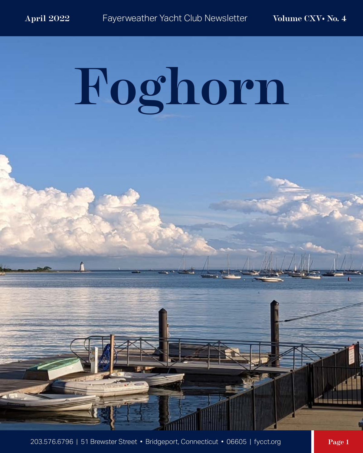$\blacksquare$ 

# **Foghorn**

203.576.6796 | 51 Brewster Street • Bridgeport, Connecticut • 06605 | fycct.org **Page 1** 

daase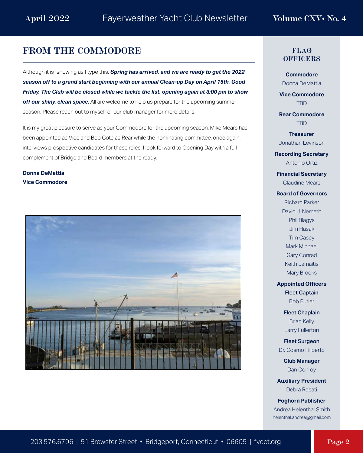### **FROM THE COMMODORE**

Although it is snowing as I type this, *Spring has arrived, and we are ready to get the 2022 season off to a grand start beginning with our annual Clean-up Day on April 15th, Good Friday. The Club will be closed while we tackle the list, opening again at 3:00 pm to show*  off our shiny, clean space. All are welcome to help us prepare for the upcoming summer season. Please reach out to myself or our club manager for more details.

It is my great pleasure to serve as your Commodore for the upcoming season. Mike Mears has been appointed as Vice and Bob Cote as Rear while the nominating committee, once again, interviews prospective candidates for these roles. I look forward to Opening Day with a full complement of Bridge and Board members at the ready.

**Donna DeMattia Vice Commodore**



### **FLAG OFFICERS**

**Commodore** Donna DeMattia

**Vice Commodore** TBD

**Rear Commodore** TBD

**Treasurer** Jonathan Levinson

**Recording Secretary** Antonio Ortiz

**Financial Secretary** Claudine Mears

### **Board of Governors**

Richard Parker David J. Nemeth Phil Blagys Jim Hasak Tim Casey Mark Michael Gary Conrad Keith Jamaitis Mary Brooks

**Appointed Officers** Fleet Captain

Bob Butler

Fleet Chaplain Brian Kelly Larry Fullerton

Fleet Surgeon Dr. Cosmo Filiberto

> **Club Manager** Dan Conroy

**Auxiliary President** Debra Rosati

**Foghorn Publisher** Andrea Helenthal Smith helenthal.andrea@gmail.com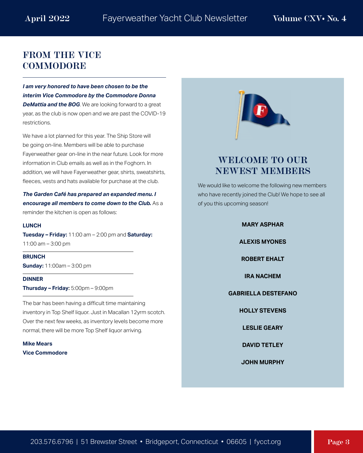# **FROM THE VICE COMMODORE**

*I am very honored to have been chosen to be the interim Vice Commodore by the Commodore Donna*  **DeMattia and the BOG**. We are looking forward to a great year, as the club is now open and we are past the COVID-19 restrictions.

We have a lot planned for this year. The Ship Store will be going on-line. Members will be able to purchase Fayerweather gear on-line in the near future. Look for more information in Club emails as well as in the Foghorn. In addition, we will have Fayerweather gear, shirts, sweatshirts, fleeces, vests and hats available for purchase at the club.

*The Garden Café has prepared an expanded menu. I encourage all members to come down to the Club.* As a reminder the kitchen is open as follows:

### **LUNCH**

**Tuesday – Friday:** 11:00 am – 2:00 pm and **Saturday:**  11:00 am – 3:00 pm

**BRUNCH Sunday:** 11:00am – 3:00 pm

**DINNER Thursday – Friday**: 5:00pm – 9:00pm

The bar has been having a difficult time maintaining inventory in Top Shelf liquor. Just in Macallan 12yrm scotch. Over the next few weeks, as inventory levels become more normal, there will be more Top Shelf liquor arriving.

**Mike Mears Vice Commodore**



# **WELCOME TO OUR NEWEST MEMBERS**

We would like to welcome the following new members who have recently joined the Club! We hope to see all of you this upcoming season!

### **MARY ASPHAR**

**ALEXIS MYONES**

**ROBERT EHALT**

**IRA NACHEM**

**GABRIELLA DESTEFANO**

**HOLLY STEVENS**

**LESLIE GEARY**

**DAVID TETLEY**

**JOHN MURPHY**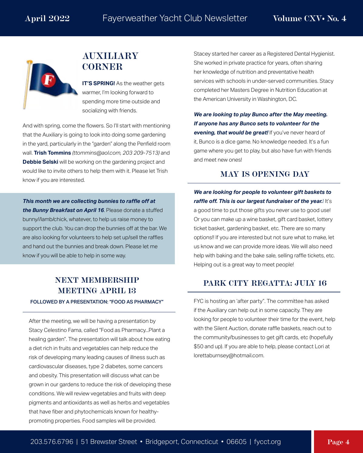

# **AUXILIARY CORNER**

**IT'S SPRING!** As the weather gets warmer, I'm looking forward to spending more time outside and socializing with friends.

And with spring, come the flowers. So I'll start with mentioning that the Auxiliary is going to look into doing some gardening in the yard, particularly in the "garden" along the Penfield room wall. **Trish Tommins** *(ttommins@aol.com, 203 209-7513)* and **Debbie Selski** will be working on the gardening project and would like to invite others to help them with it. Please let Trish know if you are interested.

*This month we are collecting bunnies to raffle off at the Bunny Breakfast on April 16*. Please donate a stuffed bunny//lamb/chick, whatever, to help us raise money to support the club. You can drop the bunnies off at the bar. We are also looking for volunteers to help set up/sell the raffles and hand out the bunnies and break down. Please let me know if you will be able to help in some way.

# **NEXT MEMBERSHIP MEETING APRIL 13**

FOLLOWED BY A PRESENTATION: "FOOD AS PHARMACY"

After the meeting, we will be having a presentation by Stacy Celestino Fama, called "Food as Pharmacy...Plant a healing garden". The presentation will talk about how eating a diet rich in fruits and vegetables can help reduce the risk of developing many leading causes of illness such as cardiovascular diseases, type 2 diabetes, some cancers and obesity. This presentation will discuss what can be grown in our gardens to reduce the risk of developing these conditions. We will review vegetables and fruits with deep pigments and antioxidants as well as herbs and vegetables that have fiber and phytochemicals known for healthypromoting properties. Food samples will be provided.

Stacey started her career as a Registered Dental Hygienist. She worked in private practice for years, often sharing her knowledge of nutrition and preventative health services with schools in under-served communities. Stacy completed her Masters Degree in Nutrition Education at the American University in Washington, DC.

*We are looking to play Bunco after the May meeting. If anyone has any Bunco sets to volunteer for the evening, that would be great!* If you've never heard of it, Bunco is a dice game. No knowledge needed. It's a fun game where you get to play, but also have fun with friends and meet new ones!

### **MAY IS OPENING DAY**

*We are looking for people to volunteer gift baskets to raffle off. This is our largest fundraiser of the year.*! It's a good time to put those gifts you never use to good use! Or you can make up a wine basket, gift card basket, lottery ticket basket, gardening basket, etc. There are so many options!! If you are interested but not sure what to make, let us know and we can provide more ideas. We will also need help with baking and the bake sale, selling raffle tickets, etc. Helping out is a great way to meet people!

### **PARK CITY REGATTA: JULY 16**

FYC is hosting an 'after party". The committee has asked if the Auxiliary can help out in some capacity. They are looking for people to volunteer their time for the event, help with the Silent Auction, donate raffle baskets, reach out to the community/businesses to get gift cards, etc (hopefully \$50 and up). If you are able to help, please contact Lori at lorettaburnsey@hotmail.com.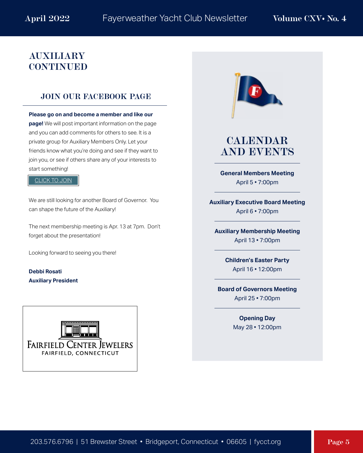# **AUXILIARY CONTINUED**

### **JOIN OUR FACEBOOK PAGE**

**Please go on and become a member and like our page!** We will post important information on the page and you can add comments for others to see. It is a private group for Auxiliary Members Only. Let your friends know what you're doing and see if they want to join you, or see if others share any of your interests to start something!

### [CLICK TO JOIN](https://www.facebook.com/groups/443749913780538)

We are still looking for another Board of Governor. You can shape the future of the Auxiliary!

The next membership meeting is Apr. 13 at 7pm. Don't forget about the presentation!

Looking forward to seeing you there!

**Debbi Rosati Auxiliary President**





# **CALENDAR AND EVENTS**

**General Members Meeting** April 5 • 7:00pm

**Auxiliary Executive Board Meeting** April 6 • 7:00pm

**Auxiliary Membership Meeting** April 13 • 7:00pm

> **Children's Easter Party**  April 16 • 12:00pm

**Board of Governors Meeting** April 25 • 7:00pm

> **Opening Day**  May 28 • 12:00pm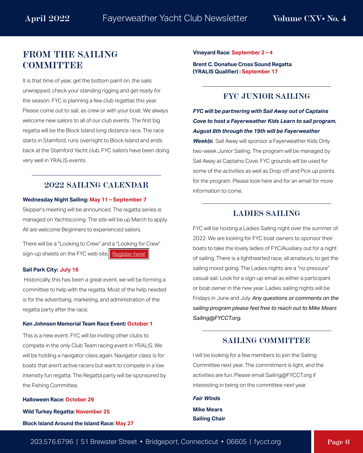# **[FROM THE SAILING](https://fycct.org/index.cfm?ID=169)  COMMITTEE**

It is that time of year, get the bottom paint on, the sails unwrapped, check your standing rigging and get ready for the season. FYC is planning a few club regattas this year. Please come out to sail, as crew or with your boat. We always welcome new sailors to all of our club events. The first big regatta will be the Block Island long distance race. The race starts in Stamford, runs overnight to Block Island and ends back at the Stamford Yacht club. FYC sailors have been doing very well in YRALIS events.

### **2022 SAILING CALENDAR**

### **Wednesday Night Sailing: May 11 – September 7**

Skipper's meeting will be announced. The regatta series is managed on Yachtscoring. The site will be up March to apply. All are welcome Beginners to experienced sailors.

There will be a "Looking to Crew" and a "Looking for Crew" sign-up sheets on the FYC web site. [Register here!](https://fycct.org/index.cfm?ID=169)

### **Sail Park City: July 16**

 Historically, this has been a great event, we will be forming a committee to help with the regatta. Most of the help needed is for the advertising, marketing, and administration of the regatta party after the race.

### **Ken Johnson Memorial Team Race Event: October 1**

This is a new event. FYC will be inviting other clubs to compete in the only Club Team racing event in YRALIS. We will be holding a navigator class again. Navigator class is for boats that aren't active racers but want to compete in a low intensity fun regatta. The Regatta party will be sponsored by the Fishing Committee.

**Halloween Race: October 29**

**Wild Turkey Regatta: November 25**

**Block Island Around the Island Race: May 27**

**Vineyard Race: September 2 – 4**

**Brent C. Donahue Cross Sound Regatta (YRALIS Qualifier) : September 17**

### **FYC JUNIOR SAILING**

*FYC will be partnering with Sail Away out of Captains Cove to host a Fayerweather Kids Learn to sail program. August 8th through the 19th will be Fayerweather Week(s*). Sail Away will sponsor a Fayerweather Kids Only two-week Junior Sailing. The program will be managed by Sail Away at Captains Cove. FYC grounds will be used for some of the activities as well as Drop off and Pick up points for the program. Please look here and for an email for more information to come.

### **LADIES SAILING**

FYC will be hosting a Ladies Sailing night over the summer of 2022. We are looking for FYC boat owners to sponsor their boats to take the lovely ladies of FYC/Auxiliary out for a night of sailing. There is a lighthearted race, all amateurs, to get the sailing mood going. The Ladies nights are a "no pressure" casual sail. Look for a sign-up email as either a participant or boat owner in the new year. Ladies sailing nights will be Fridays in June and July. *Any questions or comments on the sailing program please feel free to reach out to Mike Mears Sailing@FYCCT.org.*

### **SAILING COMMITTEE**

I will be looking for a few members to join the Sailing Committee next year. The commitment is light, and the activities are fun. Please email Sailing@FYCCT.org if interesting in being on the committee next year.

*Fair Winds* **Mike Mears Sailing Chair**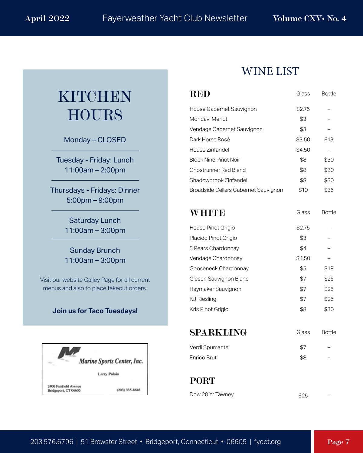# KITCHEN HOURS

Monday – CLOSED

Tuesday - Friday: Lunch 11:00am – 2:00pm

Thursdays - Fridays: Dinner 5:00pm – 9:00pm

> Saturday Lunch 11:00am – 3:00pm

> Sunday Brunch 11:00am – 3:00pm

Visit our website Galley Page for all current menus and also to place takeout orders.

### **Join us for Taco Tuesdays!**



# WINE LIST

| RED                                  | Glass  | <b>Bottle</b> |
|--------------------------------------|--------|---------------|
| House Cabernet Sauvignon             | \$2.75 |               |
| Mondavi Merlot                       | \$3    |               |
| Vendage Cabernet Sauvignon           | \$3    |               |
| Dark Horse Rosé                      | \$3.50 | \$13          |
| House Zinfandel                      | \$4.50 |               |
| <b>Block Nine Pinot Noir</b>         | \$8    | \$30          |
| Ghostrunner Red Blend                | \$8    | \$30          |
| Shadowbrook Zinfandel                | \$8    | \$30          |
| Broadside Cellars Cabernet Sauvignon | \$10   | \$35          |
| WHITE                                | Glass  | <b>Bottle</b> |
| House Pinot Grigio                   | \$2.75 |               |
| Placido Pinot Grigio                 | \$3    |               |
| 3 Pears Chardonnay                   | \$4    |               |
| Vendage Chardonnay                   | \$4.50 |               |
| Gooseneck Chardonnay                 | \$5    | \$18          |
| Giesen Sauvignon Blanc               | \$7    | \$25          |
| Haymaker Sauvignon                   | \$7    | \$25          |
| KJ Riesling                          | \$7    | \$25          |
| Kris Pinot Grigio                    | \$8    | \$30          |
| SPARKLING                            | Glass  | <b>Bottle</b> |
| Verdi Spumante                       | \$7    |               |
| Enrico Brut                          | \$8    |               |
|                                      |        |               |

**PORT**

| Dow 20 Yr Tawney | \$25 |  |
|------------------|------|--|
|                  |      |  |